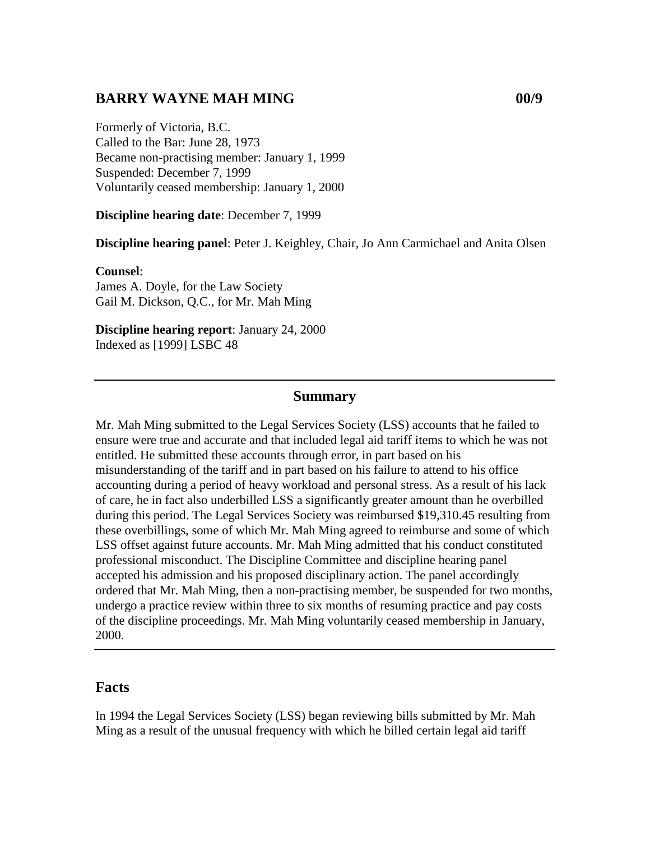## **BARRY WAYNE MAH MING 00/9**

Formerly of Victoria, B.C. Called to the Bar: June 28, 1973 Became non-practising member: January 1, 1999 Suspended: December 7, 1999 Voluntarily ceased membership: January 1, 2000

**Discipline hearing date**: December 7, 1999

**Discipline hearing panel**: Peter J. Keighley, Chair, Jo Ann Carmichael and Anita Olsen

#### **Counsel**:

James A. Doyle, for the Law Society Gail M. Dickson, Q.C., for Mr. Mah Ming

**Discipline hearing report**: January 24, 2000 Indexed as [1999] LSBC 48

## **Summary**

Mr. Mah Ming submitted to the Legal Services Society (LSS) accounts that he failed to ensure were true and accurate and that included legal aid tariff items to which he was not entitled. He submitted these accounts through error, in part based on his misunderstanding of the tariff and in part based on his failure to attend to his office accounting during a period of heavy workload and personal stress. As a result of his lack of care, he in fact also underbilled LSS a significantly greater amount than he overbilled during this period. The Legal Services Society was reimbursed \$19,310.45 resulting from these overbillings, some of which Mr. Mah Ming agreed to reimburse and some of which LSS offset against future accounts. Mr. Mah Ming admitted that his conduct constituted professional misconduct. The Discipline Committee and discipline hearing panel accepted his admission and his proposed disciplinary action. The panel accordingly ordered that Mr. Mah Ming, then a non-practising member, be suspended for two months, undergo a practice review within three to six months of resuming practice and pay costs of the discipline proceedings. Mr. Mah Ming voluntarily ceased membership in January, 2000.

### **Facts**

In 1994 the Legal Services Society (LSS) began reviewing bills submitted by Mr. Mah Ming as a result of the unusual frequency with which he billed certain legal aid tariff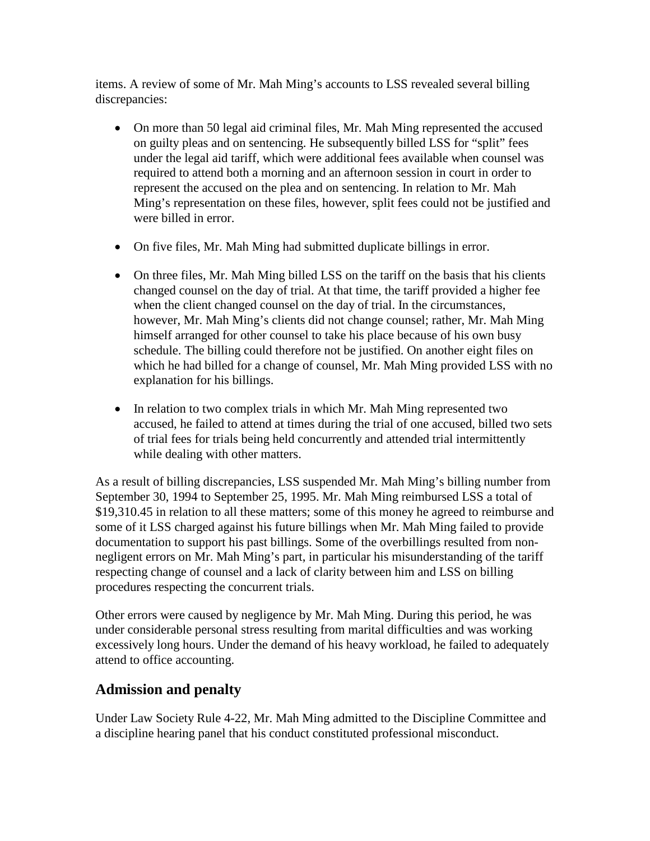items. A review of some of Mr. Mah Ming's accounts to LSS revealed several billing discrepancies:

- On more than 50 legal aid criminal files, Mr. Mah Ming represented the accused on guilty pleas and on sentencing. He subsequently billed LSS for "split" fees under the legal aid tariff, which were additional fees available when counsel was required to attend both a morning and an afternoon session in court in order to represent the accused on the plea and on sentencing. In relation to Mr. Mah Ming's representation on these files, however, split fees could not be justified and were billed in error.
- On five files, Mr. Mah Ming had submitted duplicate billings in error.
- On three files, Mr. Mah Ming billed LSS on the tariff on the basis that his clients changed counsel on the day of trial. At that time, the tariff provided a higher fee when the client changed counsel on the day of trial. In the circumstances, however, Mr. Mah Ming's clients did not change counsel; rather, Mr. Mah Ming himself arranged for other counsel to take his place because of his own busy schedule. The billing could therefore not be justified. On another eight files on which he had billed for a change of counsel, Mr. Mah Ming provided LSS with no explanation for his billings.
- In relation to two complex trials in which Mr. Mah Ming represented two accused, he failed to attend at times during the trial of one accused, billed two sets of trial fees for trials being held concurrently and attended trial intermittently while dealing with other matters.

As a result of billing discrepancies, LSS suspended Mr. Mah Ming's billing number from September 30, 1994 to September 25, 1995. Mr. Mah Ming reimbursed LSS a total of \$19,310.45 in relation to all these matters; some of this money he agreed to reimburse and some of it LSS charged against his future billings when Mr. Mah Ming failed to provide documentation to support his past billings. Some of the overbillings resulted from nonnegligent errors on Mr. Mah Ming's part, in particular his misunderstanding of the tariff respecting change of counsel and a lack of clarity between him and LSS on billing procedures respecting the concurrent trials.

Other errors were caused by negligence by Mr. Mah Ming. During this period, he was under considerable personal stress resulting from marital difficulties and was working excessively long hours. Under the demand of his heavy workload, he failed to adequately attend to office accounting.

# **Admission and penalty**

Under Law Society Rule 4-22, Mr. Mah Ming admitted to the Discipline Committee and a discipline hearing panel that his conduct constituted professional misconduct.